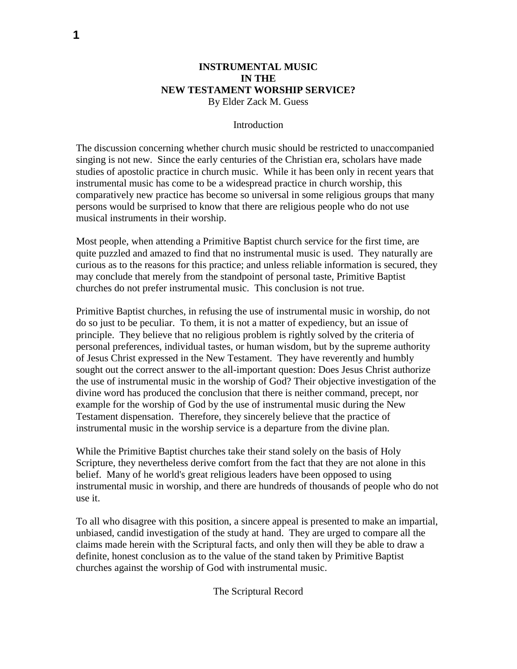## **INSTRUMENTAL MUSIC IN THE NEW TESTAMENT WORSHIP SERVICE?** By Elder Zack M. Guess

### Introduction

The discussion concerning whether church music should be restricted to unaccompanied singing is not new. Since the early centuries of the Christian era, scholars have made studies of apostolic practice in church music. While it has been only in recent years that instrumental music has come to be a widespread practice in church worship, this comparatively new practice has become so universal in some religious groups that many persons would be surprised to know that there are religious people who do not use musical instruments in their worship.

Most people, when attending a Primitive Baptist church service for the first time, are quite puzzled and amazed to find that no instrumental music is used. They naturally are curious as to the reasons for this practice; and unless reliable information is secured, they may conclude that merely from the standpoint of personal taste, Primitive Baptist churches do not prefer instrumental music. This conclusion is not true.

Primitive Baptist churches, in refusing the use of instrumental music in worship, do not do so just to be peculiar. To them, it is not a matter of expediency, but an issue of principle. They believe that no religious problem is rightly solved by the criteria of personal preferences, individual tastes, or human wisdom, but by the supreme authority of Jesus Christ expressed in the New Testament. They have reverently and humbly sought out the correct answer to the all-important question: Does Jesus Christ authorize the use of instrumental music in the worship of God? Their objective investigation of the divine word has produced the conclusion that there is neither command, precept, nor example for the worship of God by the use of instrumental music during the New Testament dispensation. Therefore, they sincerely believe that the practice of instrumental music in the worship service is a departure from the divine plan.

While the Primitive Baptist churches take their stand solely on the basis of Holy Scripture, they nevertheless derive comfort from the fact that they are not alone in this belief. Many of he world's great religious leaders have been opposed to using instrumental music in worship, and there are hundreds of thousands of people who do not use it.

To all who disagree with this position, a sincere appeal is presented to make an impartial, unbiased, candid investigation of the study at hand. They are urged to compare all the claims made herein with the Scriptural facts, and only then will they be able to draw a definite, honest conclusion as to the value of the stand taken by Primitive Baptist churches against the worship of God with instrumental music.

The Scriptural Record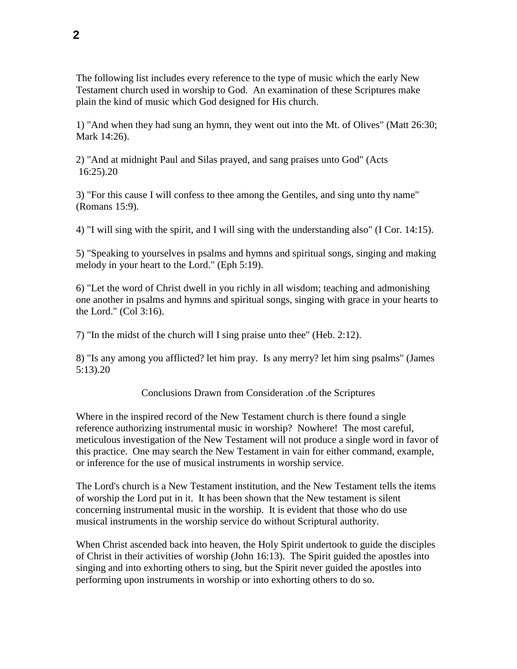The following list includes every reference to the type of music which the early New Testament church used in worship to God. An examination of these Scriptures make plain the kind of music which God designed for His church.

1) "And when they had sung an hymn, they went out into the Mt. of Olives" (Matt 26:30; Mark 14:26).

2) "And at midnight Paul and Silas prayed, and sang praises unto God" (Acts 16:25).20

3) "For this cause I will confess to thee among the Gentiles, and sing unto thy name" (Romans 15:9).

4) "I will sing with the spirit, and I will sing with the understanding also" (I Cor. 14:15).

5) "Speaking to yourselves in psalms and hymns and spiritual songs, singing and making melody in your heart to the Lord." (Eph 5:19).

6) "Let the word of Christ dwell in you richly in all wisdom; teaching and admonishing one another in psalms and hymns and spiritual songs, singing with grace in your hearts to the Lord." (Col 3:16).

7) "In the midst of the church will I sing praise unto thee" (Heb. 2:12).

8) "Is any among you afflicted? let him pray. Is any merry? let him sing psalms" (James 5:13).20

Conclusions Drawn from Consideration .of the Scriptures

Where in the inspired record of the New Testament church is there found a single reference authorizing instrumental music in worship? Nowhere! The most careful, meticulous investigation of the New Testament will not produce a single word in favor of this practice. One may search the New Testament in vain for either command, example, or inference for the use of musical instruments in worship service.

The Lord's church is a New Testament institution, and the New Testament tells the items of worship the Lord put in it. It has been shown that the New testament is silent concerning instrumental music in the worship. It is evident that those who do use musical instruments in the worship service do without Scriptural authority.

When Christ ascended back into heaven, the Holy Spirit undertook to guide the disciples of Christ in their activities of worship (John 16:13). The Spirit guided the apostles into singing and into exhorting others to sing, but the Spirit never guided the apostles into performing upon instruments in worship or into exhorting others to do so.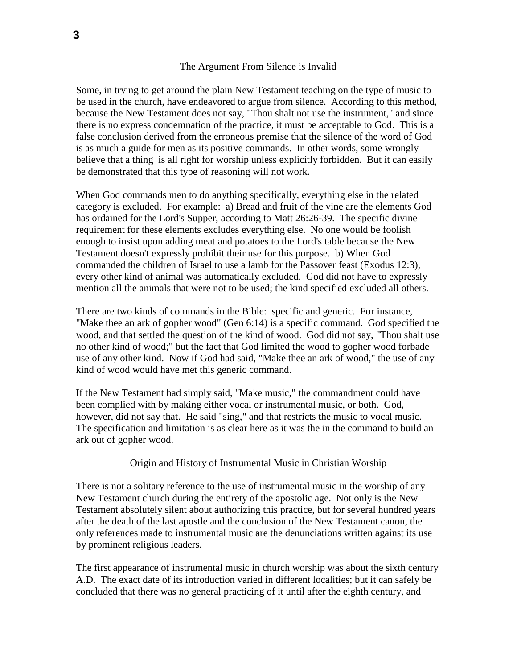### The Argument From Silence is Invalid

Some, in trying to get around the plain New Testament teaching on the type of music to be used in the church, have endeavored to argue from silence. According to this method, because the New Testament does not say, "Thou shalt not use the instrument," and since there is no express condemnation of the practice, it must be acceptable to God. This is a false conclusion derived from the erroneous premise that the silence of the word of God is as much a guide for men as its positive commands. In other words, some wrongly believe that a thing is all right for worship unless explicitly forbidden. But it can easily be demonstrated that this type of reasoning will not work.

When God commands men to do anything specifically, everything else in the related category is excluded. For example: a) Bread and fruit of the vine are the elements God has ordained for the Lord's Supper, according to Matt 26:26-39. The specific divine requirement for these elements excludes everything else. No one would be foolish enough to insist upon adding meat and potatoes to the Lord's table because the New Testament doesn't expressly prohibit their use for this purpose. b) When God commanded the children of Israel to use a lamb for the Passover feast (Exodus 12:3), every other kind of animal was automatically excluded. God did not have to expressly mention all the animals that were not to be used; the kind specified excluded all others.

There are two kinds of commands in the Bible: specific and generic. For instance, "Make thee an ark of gopher wood" (Gen 6:14) is a specific command. God specified the wood, and that settled the question of the kind of wood. God did not say, "Thou shalt use no other kind of wood;" but the fact that God limited the wood to gopher wood forbade use of any other kind. Now if God had said, "Make thee an ark of wood," the use of any kind of wood would have met this generic command.

If the New Testament had simply said, "Make music," the commandment could have been complied with by making either vocal or instrumental music, or both. God, however, did not say that. He said "sing," and that restricts the music to vocal music. The specification and limitation is as clear here as it was the in the command to build an ark out of gopher wood.

#### Origin and History of Instrumental Music in Christian Worship

There is not a solitary reference to the use of instrumental music in the worship of any New Testament church during the entirety of the apostolic age. Not only is the New Testament absolutely silent about authorizing this practice, but for several hundred years after the death of the last apostle and the conclusion of the New Testament canon, the only references made to instrumental music are the denunciations written against its use by prominent religious leaders.

The first appearance of instrumental music in church worship was about the sixth century A.D. The exact date of its introduction varied in different localities; but it can safely be concluded that there was no general practicing of it until after the eighth century, and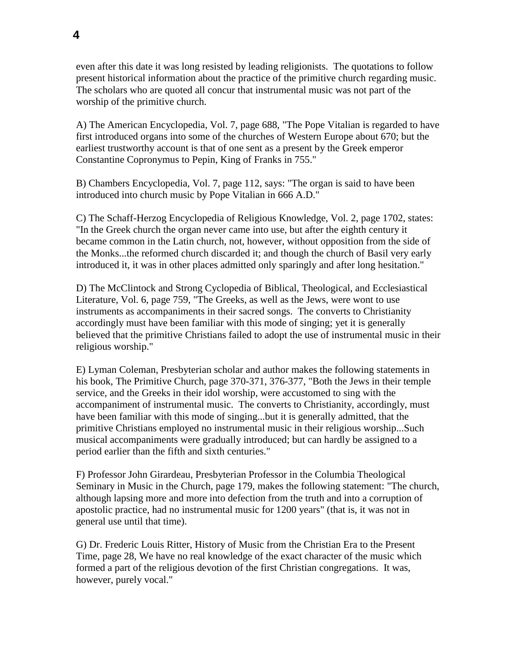even after this date it was long resisted by leading religionists. The quotations to follow present historical information about the practice of the primitive church regarding music. The scholars who are quoted all concur that instrumental music was not part of the worship of the primitive church.

A) The American Encyclopedia, Vol. 7, page 688, "The Pope Vitalian is regarded to have first introduced organs into some of the churches of Western Europe about 670; but the earliest trustworthy account is that of one sent as a present by the Greek emperor Constantine Copronymus to Pepin, King of Franks in 755."

B) Chambers Encyclopedia, Vol. 7, page 112, says: "The organ is said to have been introduced into church music by Pope Vitalian in 666 A.D."

C) The Schaff-Herzog Encyclopedia of Religious Knowledge, Vol. 2, page 1702, states: "In the Greek church the organ never came into use, but after the eighth century it became common in the Latin church, not, however, without opposition from the side of the Monks...the reformed church discarded it; and though the church of Basil very early introduced it, it was in other places admitted only sparingly and after long hesitation."

D) The McClintock and Strong Cyclopedia of Biblical, Theological, and Ecclesiastical Literature, Vol. 6, page 759, "The Greeks, as well as the Jews, were wont to use instruments as accompaniments in their sacred songs. The converts to Christianity accordingly must have been familiar with this mode of singing; yet it is generally believed that the primitive Christians failed to adopt the use of instrumental music in their religious worship."

E) Lyman Coleman, Presbyterian scholar and author makes the following statements in his book, The Primitive Church, page 370-371, 376-377, "Both the Jews in their temple service, and the Greeks in their idol worship, were accustomed to sing with the accompaniment of instrumental music. The converts to Christianity, accordingly, must have been familiar with this mode of singing...but it is generally admitted, that the primitive Christians employed no instrumental music in their religious worship...Such musical accompaniments were gradually introduced; but can hardly be assigned to a period earlier than the fifth and sixth centuries."

F) Professor John Girardeau, Presbyterian Professor in the Columbia Theological Seminary in Music in the Church, page 179, makes the following statement: "The church, although lapsing more and more into defection from the truth and into a corruption of apostolic practice, had no instrumental music for 1200 years" (that is, it was not in general use until that time).

G) Dr. Frederic Louis Ritter, History of Music from the Christian Era to the Present Time, page 28, We have no real knowledge of the exact character of the music which formed a part of the religious devotion of the first Christian congregations. It was, however, purely vocal."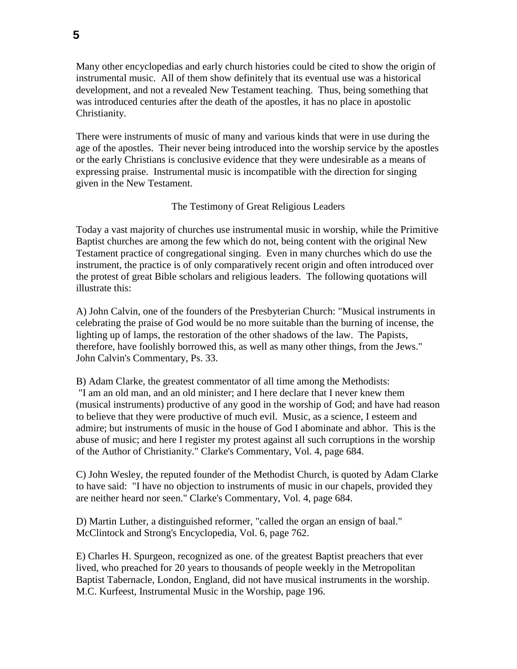Many other encyclopedias and early church histories could be cited to show the origin of instrumental music. All of them show definitely that its eventual use was a historical development, and not a revealed New Testament teaching. Thus, being something that was introduced centuries after the death of the apostles, it has no place in apostolic Christianity.

There were instruments of music of many and various kinds that were in use during the age of the apostles. Their never being introduced into the worship service by the apostles or the early Christians is conclusive evidence that they were undesirable as a means of expressing praise. Instrumental music is incompatible with the direction for singing given in the New Testament.

## The Testimony of Great Religious Leaders

Today a vast majority of churches use instrumental music in worship, while the Primitive Baptist churches are among the few which do not, being content with the original New Testament practice of congregational singing. Even in many churches which do use the instrument, the practice is of only comparatively recent origin and often introduced over the protest of great Bible scholars and religious leaders. The following quotations will illustrate this:

A) John Calvin, one of the founders of the Presbyterian Church: "Musical instruments in celebrating the praise of God would be no more suitable than the burning of incense, the lighting up of lamps, the restoration of the other shadows of the law. The Papists, therefore, have foolishly borrowed this, as well as many other things, from the Jews." John Calvin's Commentary, Ps. 33.

B) Adam Clarke, the greatest commentator of all time among the Methodists: "I am an old man, and an old minister; and I here declare that I never knew them (musical instruments) productive of any good in the worship of God; and have had reason to believe that they were productive of much evil. Music, as a science, I esteem and admire; but instruments of music in the house of God I abominate and abhor. This is the abuse of music; and here I register my protest against all such corruptions in the worship of the Author of Christianity." Clarke's Commentary, Vol. 4, page 684.

C) John Wesley, the reputed founder of the Methodist Church, is quoted by Adam Clarke to have said: "I have no objection to instruments of music in our chapels, provided they are neither heard nor seen." Clarke's Commentary, Vol. 4, page 684.

D) Martin Luther, a distinguished reformer, "called the organ an ensign of baal." McClintock and Strong's Encyclopedia, Vol. 6, page 762.

E) Charles H. Spurgeon, recognized as one. of the greatest Baptist preachers that ever lived, who preached for 20 years to thousands of people weekly in the Metropolitan Baptist Tabernacle, London, England, did not have musical instruments in the worship. M.C. Kurfeest, Instrumental Music in the Worship, page 196.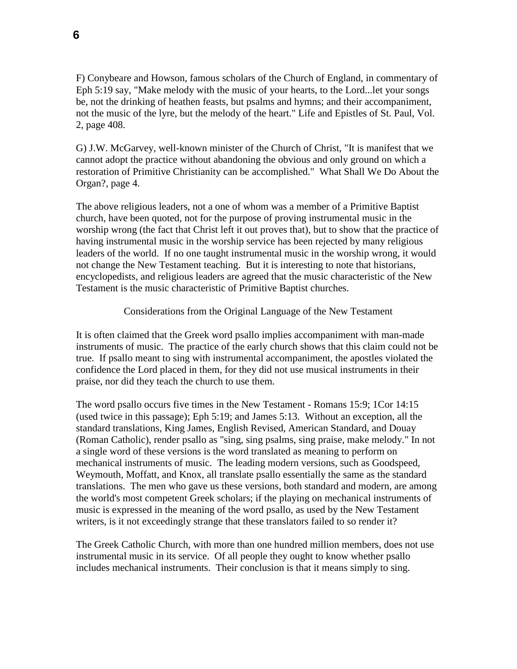F) Conybeare and Howson, famous scholars of the Church of England, in commentary of Eph 5:19 say, "Make melody with the music of your hearts, to the Lord...let your songs be, not the drinking of heathen feasts, but psalms and hymns; and their accompaniment, not the music of the lyre, but the melody of the heart." Life and Epistles of St. Paul, Vol. 2, page 408.

G) J.W. McGarvey, well-known minister of the Church of Christ, "It is manifest that we cannot adopt the practice without abandoning the obvious and only ground on which a restoration of Primitive Christianity can be accomplished." What Shall We Do About the Organ?, page 4.

The above religious leaders, not a one of whom was a member of a Primitive Baptist church, have been quoted, not for the purpose of proving instrumental music in the worship wrong (the fact that Christ left it out proves that), but to show that the practice of having instrumental music in the worship service has been rejected by many religious leaders of the world. If no one taught instrumental music in the worship wrong, it would not change the New Testament teaching. But it is interesting to note that historians, encyclopedists, and religious leaders are agreed that the music characteristic of the New Testament is the music characteristic of Primitive Baptist churches.

Considerations from the Original Language of the New Testament

It is often claimed that the Greek word psallo implies accompaniment with man-made instruments of music. The practice of the early church shows that this claim could not be true. If psallo meant to sing with instrumental accompaniment, the apostles violated the confidence the Lord placed in them, for they did not use musical instruments in their praise, nor did they teach the church to use them.

The word psallo occurs five times in the New Testament - Romans 15:9; 1Cor 14:15 (used twice in this passage); Eph 5:19; and James 5:13. Without an exception, all the standard translations, King James, English Revised, American Standard, and Douay (Roman Catholic), render psallo as "sing, sing psalms, sing praise, make melody." In not a single word of these versions is the word translated as meaning to perform on mechanical instruments of music. The leading modern versions, such as Goodspeed, Weymouth, Moffatt, and Knox, all translate psallo essentially the same as the standard translations. The men who gave us these versions, both standard and modern, are among the world's most competent Greek scholars; if the playing on mechanical instruments of music is expressed in the meaning of the word psallo, as used by the New Testament writers, is it not exceedingly strange that these translators failed to so render it?

The Greek Catholic Church, with more than one hundred million members, does not use instrumental music in its service. Of all people they ought to know whether psallo includes mechanical instruments. Their conclusion is that it means simply to sing.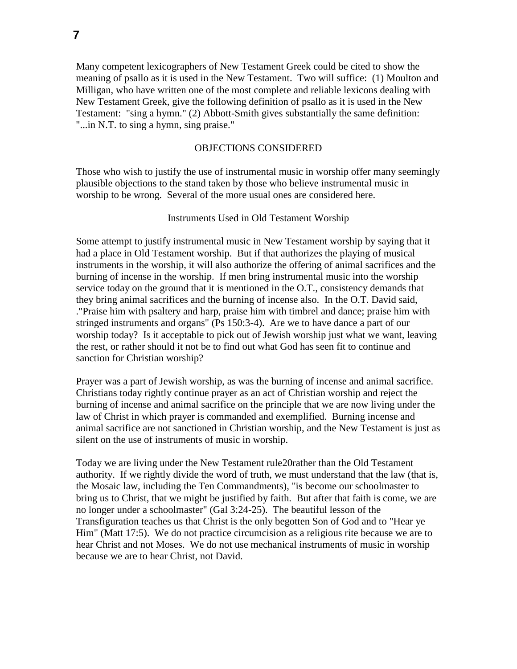Many competent lexicographers of New Testament Greek could be cited to show the meaning of psallo as it is used in the New Testament. Two will suffice: (1) Moulton and Milligan, who have written one of the most complete and reliable lexicons dealing with New Testament Greek, give the following definition of psallo as it is used in the New Testament: "sing a hymn." (2) Abbott-Smith gives substantially the same definition: "...in N.T. to sing a hymn, sing praise."

## OBJECTIONS CONSIDERED

Those who wish to justify the use of instrumental music in worship offer many seemingly plausible objections to the stand taken by those who believe instrumental music in worship to be wrong. Several of the more usual ones are considered here.

### Instruments Used in Old Testament Worship

Some attempt to justify instrumental music in New Testament worship by saying that it had a place in Old Testament worship. But if that authorizes the playing of musical instruments in the worship, it will also authorize the offering of animal sacrifices and the burning of incense in the worship. If men bring instrumental music into the worship service today on the ground that it is mentioned in the O.T., consistency demands that they bring animal sacrifices and the burning of incense also. In the O.T. David said, ."Praise him with psaltery and harp, praise him with timbrel and dance; praise him with stringed instruments and organs" (Ps 150:3-4). Are we to have dance a part of our worship today? Is it acceptable to pick out of Jewish worship just what we want, leaving the rest, or rather should it not be to find out what God has seen fit to continue and sanction for Christian worship?

Prayer was a part of Jewish worship, as was the burning of incense and animal sacrifice. Christians today rightly continue prayer as an act of Christian worship and reject the burning of incense and animal sacrifice on the principle that we are now living under the law of Christ in which prayer is commanded and exemplified. Burning incense and animal sacrifice are not sanctioned in Christian worship, and the New Testament is just as silent on the use of instruments of music in worship.

Today we are living under the New Testament rule20rather than the Old Testament authority. If we rightly divide the word of truth, we must understand that the law (that is, the Mosaic law, including the Ten Commandments), "is become our schoolmaster to bring us to Christ, that we might be justified by faith. But after that faith is come, we are no longer under a schoolmaster" (Gal 3:24-25). The beautiful lesson of the Transfiguration teaches us that Christ is the only begotten Son of God and to "Hear ye Him" (Matt 17:5). We do not practice circumcision as a religious rite because we are to hear Christ and not Moses. We do not use mechanical instruments of music in worship because we are to hear Christ, not David.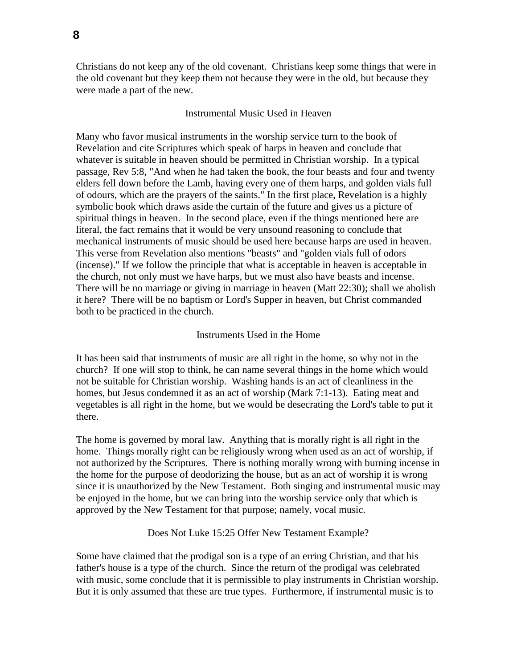Christians do not keep any of the old covenant. Christians keep some things that were in the old covenant but they keep them not because they were in the old, but because they were made a part of the new.

## Instrumental Music Used in Heaven

Many who favor musical instruments in the worship service turn to the book of Revelation and cite Scriptures which speak of harps in heaven and conclude that whatever is suitable in heaven should be permitted in Christian worship. In a typical passage, Rev 5:8, "And when he had taken the book, the four beasts and four and twenty elders fell down before the Lamb, having every one of them harps, and golden vials full of odours, which are the prayers of the saints." In the first place, Revelation is a highly symbolic book which draws aside the curtain of the future and gives us a picture of spiritual things in heaven. In the second place, even if the things mentioned here are literal, the fact remains that it would be very unsound reasoning to conclude that mechanical instruments of music should be used here because harps are used in heaven. This verse from Revelation also mentions "beasts" and "golden vials full of odors (incense)." If we follow the principle that what is acceptable in heaven is acceptable in the church, not only must we have harps, but we must also have beasts and incense. There will be no marriage or giving in marriage in heaven (Matt 22:30); shall we abolish it here? There will be no baptism or Lord's Supper in heaven, but Christ commanded both to be practiced in the church.

#### Instruments Used in the Home

It has been said that instruments of music are all right in the home, so why not in the church? If one will stop to think, he can name several things in the home which would not be suitable for Christian worship. Washing hands is an act of cleanliness in the homes, but Jesus condemned it as an act of worship (Mark 7:1-13). Eating meat and vegetables is all right in the home, but we would be desecrating the Lord's table to put it there.

The home is governed by moral law. Anything that is morally right is all right in the home. Things morally right can be religiously wrong when used as an act of worship, if not authorized by the Scriptures. There is nothing morally wrong with burning incense in the home for the purpose of deodorizing the house, but as an act of worship it is wrong since it is unauthorized by the New Testament. Both singing and instrumental music may be enjoyed in the home, but we can bring into the worship service only that which is approved by the New Testament for that purpose; namely, vocal music.

#### Does Not Luke 15:25 Offer New Testament Example?

Some have claimed that the prodigal son is a type of an erring Christian, and that his father's house is a type of the church. Since the return of the prodigal was celebrated with music, some conclude that it is permissible to play instruments in Christian worship. But it is only assumed that these are true types. Furthermore, if instrumental music is to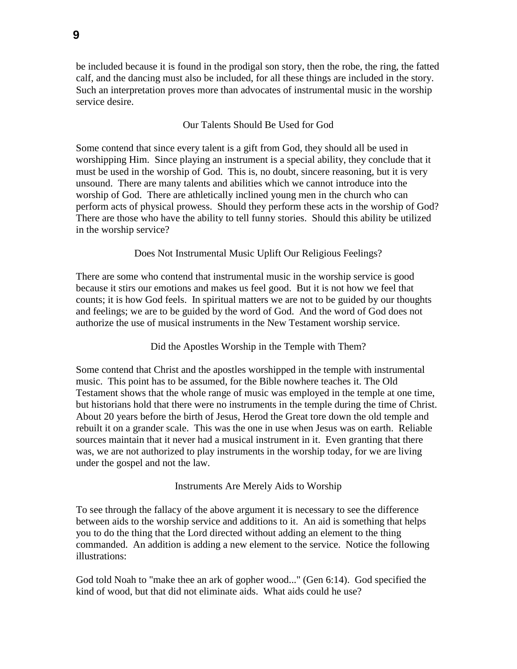be included because it is found in the prodigal son story, then the robe, the ring, the fatted calf, and the dancing must also be included, for all these things are included in the story. Such an interpretation proves more than advocates of instrumental music in the worship service desire.

# Our Talents Should Be Used for God

Some contend that since every talent is a gift from God, they should all be used in worshipping Him. Since playing an instrument is a special ability, they conclude that it must be used in the worship of God. This is, no doubt, sincere reasoning, but it is very unsound. There are many talents and abilities which we cannot introduce into the worship of God. There are athletically inclined young men in the church who can perform acts of physical prowess. Should they perform these acts in the worship of God? There are those who have the ability to tell funny stories. Should this ability be utilized in the worship service?

## Does Not Instrumental Music Uplift Our Religious Feelings?

There are some who contend that instrumental music in the worship service is good because it stirs our emotions and makes us feel good. But it is not how we feel that counts; it is how God feels. In spiritual matters we are not to be guided by our thoughts and feelings; we are to be guided by the word of God. And the word of God does not authorize the use of musical instruments in the New Testament worship service.

Did the Apostles Worship in the Temple with Them?

Some contend that Christ and the apostles worshipped in the temple with instrumental music. This point has to be assumed, for the Bible nowhere teaches it. The Old Testament shows that the whole range of music was employed in the temple at one time, but historians hold that there were no instruments in the temple during the time of Christ. About 20 years before the birth of Jesus, Herod the Great tore down the old temple and rebuilt it on a grander scale. This was the one in use when Jesus was on earth. Reliable sources maintain that it never had a musical instrument in it. Even granting that there was, we are not authorized to play instruments in the worship today, for we are living under the gospel and not the law.

Instruments Are Merely Aids to Worship

To see through the fallacy of the above argument it is necessary to see the difference between aids to the worship service and additions to it. An aid is something that helps you to do the thing that the Lord directed without adding an element to the thing commanded. An addition is adding a new element to the service. Notice the following illustrations:

God told Noah to "make thee an ark of gopher wood..." (Gen 6:14). God specified the kind of wood, but that did not eliminate aids. What aids could he use?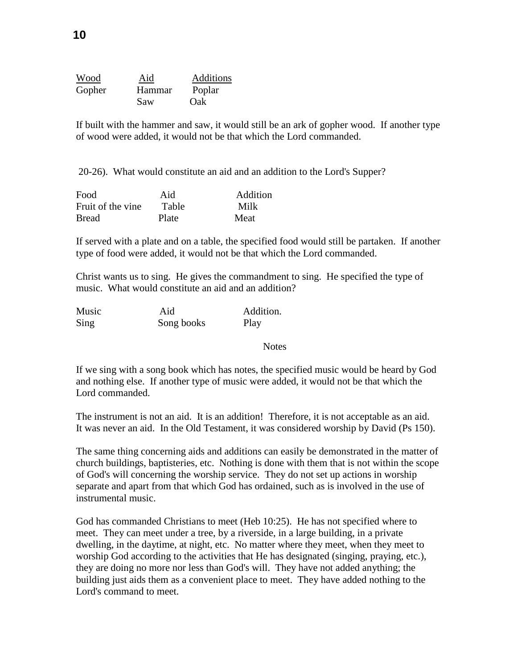| Wood   | Aid           | Additions |
|--------|---------------|-----------|
| Gopher | <b>Hammar</b> | Poplar    |
|        | Saw           | Oak)      |

If built with the hammer and saw, it would still be an ark of gopher wood. If another type of wood were added, it would not be that which the Lord commanded.

20-26). What would constitute an aid and an addition to the Lord's Supper?

| Food               | Aid   | Addition |
|--------------------|-------|----------|
| Fruit of the vine. | Table | Milk     |
| <b>Bread</b>       | Plate | Meat     |

If served with a plate and on a table, the specified food would still be partaken. If another type of food were added, it would not be that which the Lord commanded.

Christ wants us to sing. He gives the commandment to sing. He specified the type of music. What would constitute an aid and an addition?

| Music | Aid        | Addition. |
|-------|------------|-----------|
| Sing  | Song books | Play      |

**Notes** 

If we sing with a song book which has notes, the specified music would be heard by God and nothing else. If another type of music were added, it would not be that which the Lord commanded.

The instrument is not an aid. It is an addition! Therefore, it is not acceptable as an aid. It was never an aid. In the Old Testament, it was considered worship by David (Ps 150).

The same thing concerning aids and additions can easily be demonstrated in the matter of church buildings, baptisteries, etc. Nothing is done with them that is not within the scope of God's will concerning the worship service. They do not set up actions in worship separate and apart from that which God has ordained, such as is involved in the use of instrumental music.

God has commanded Christians to meet (Heb 10:25). He has not specified where to meet. They can meet under a tree, by a riverside, in a large building, in a private dwelling, in the daytime, at night, etc. No matter where they meet, when they meet to worship God according to the activities that He has designated (singing, praying, etc.), they are doing no more nor less than God's will. They have not added anything; the building just aids them as a convenient place to meet. They have added nothing to the Lord's command to meet.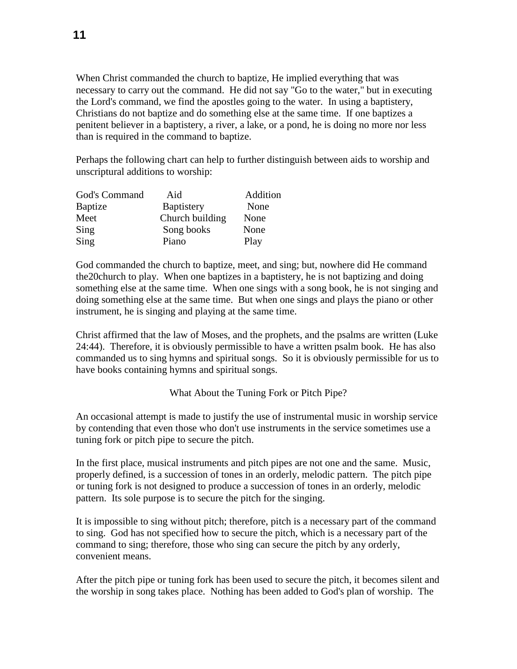When Christ commanded the church to baptize, He implied everything that was necessary to carry out the command. He did not say "Go to the water," but in executing the Lord's command, we find the apostles going to the water. In using a baptistery, Christians do not baptize and do something else at the same time. If one baptizes a penitent believer in a baptistery, a river, a lake, or a pond, he is doing no more nor less than is required in the command to baptize.

Perhaps the following chart can help to further distinguish between aids to worship and unscriptural additions to worship:

| God's Command  | Aid               | Addition |
|----------------|-------------------|----------|
| <b>Baptize</b> | <b>Baptistery</b> | None     |
| Meet           | Church building   | None     |
| Sing           | Song books        | None     |
| Sing           | Piano             | Play     |

God commanded the church to baptize, meet, and sing; but, nowhere did He command the20church to play. When one baptizes in a baptistery, he is not baptizing and doing something else at the same time. When one sings with a song book, he is not singing and doing something else at the same time. But when one sings and plays the piano or other instrument, he is singing and playing at the same time.

Christ affirmed that the law of Moses, and the prophets, and the psalms are written (Luke 24:44). Therefore, it is obviously permissible to have a written psalm book. He has also commanded us to sing hymns and spiritual songs. So it is obviously permissible for us to have books containing hymns and spiritual songs.

What About the Tuning Fork or Pitch Pipe?

An occasional attempt is made to justify the use of instrumental music in worship service by contending that even those who don't use instruments in the service sometimes use a tuning fork or pitch pipe to secure the pitch.

In the first place, musical instruments and pitch pipes are not one and the same. Music, properly defined, is a succession of tones in an orderly, melodic pattern. The pitch pipe or tuning fork is not designed to produce a succession of tones in an orderly, melodic pattern. Its sole purpose is to secure the pitch for the singing.

It is impossible to sing without pitch; therefore, pitch is a necessary part of the command to sing. God has not specified how to secure the pitch, which is a necessary part of the command to sing; therefore, those who sing can secure the pitch by any orderly, convenient means.

After the pitch pipe or tuning fork has been used to secure the pitch, it becomes silent and the worship in song takes place. Nothing has been added to God's plan of worship. The